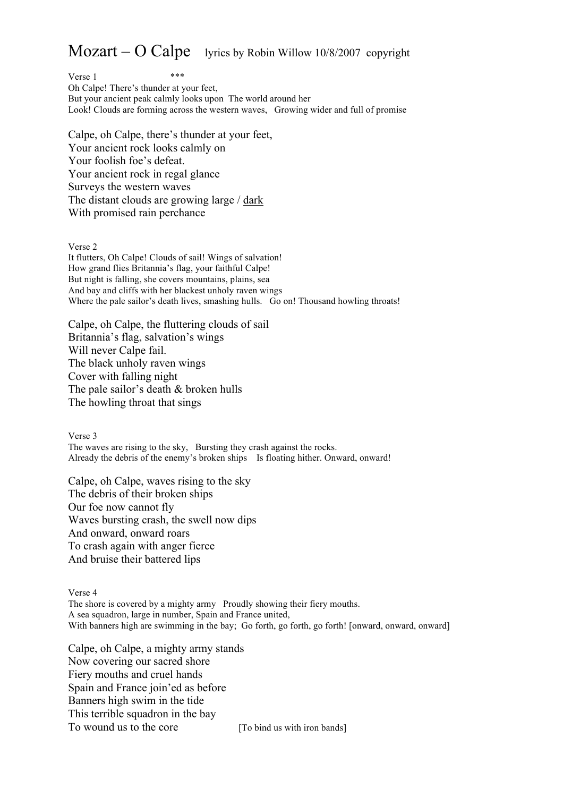## $Mozart - O$  Calpe lyrics by Robin Willow 10/8/2007 copyright

 $Verse 1$  \*\*\* Oh Calpe! There's thunder at your feet, But your ancient peak calmly looks upon The world around her Look! Clouds are forming across the western waves, Growing wider and full of promise

Calpe, oh Calpe, there's thunder at your feet, Your ancient rock looks calmly on Your foolish foe's defeat. Your ancient rock in regal glance Surveys the western waves The distant clouds are growing large / dark With promised rain perchance

Verse 2

It flutters, Oh Calpe! Clouds of sail! Wings of salvation! How grand flies Britannia's flag, your faithful Calpe! But night is falling, she covers mountains, plains, sea And bay and cliffs with her blackest unholy raven wings Where the pale sailor's death lives, smashing hulls. Go on! Thousand howling throats!

Calpe, oh Calpe, the fluttering clouds of sail Britannia's flag, salvation's wings Will never Calpe fail. The black unholy raven wings Cover with falling night The pale sailor's death & broken hulls The howling throat that sings

Verse 3 The waves are rising to the sky, Bursting they crash against the rocks. Already the debris of the enemy's broken ships Is floating hither. Onward, onward!

Calpe, oh Calpe, waves rising to the sky The debris of their broken ships Our foe now cannot fly Waves bursting crash, the swell now dips And onward, onward roars To crash again with anger fierce And bruise their battered lips

Verse 4 The shore is covered by a mighty army Proudly showing their fiery mouths. A sea squadron, large in number, Spain and France united, With banners high are swimming in the bay; Go forth, go forth, go forth! [onward, onward, onward]

Calpe, oh Calpe, a mighty army stands Now covering our sacred shore Fiery mouths and cruel hands Spain and France join'ed as before Banners high swim in the tide This terrible squadron in the bay To wound us to the core [To bind us with iron bands]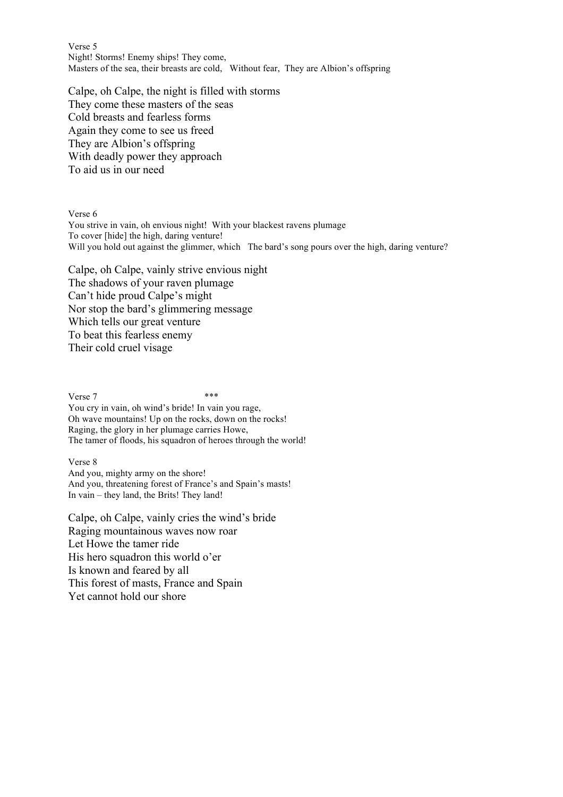Verse 5 Night! Storms! Enemy ships! They come, Masters of the sea, their breasts are cold, Without fear, They are Albion's offspring

Calpe, oh Calpe, the night is filled with storms They come these masters of the seas Cold breasts and fearless forms Again they come to see us freed They are Albion's offspring With deadly power they approach To aid us in our need

Verse 6

You strive in vain, oh envious night! With your blackest ravens plumage To cover [hide] the high, daring venture! Will you hold out against the glimmer, which The bard's song pours over the high, daring venture?

Calpe, oh Calpe, vainly strive envious night The shadows of your raven plumage Can't hide proud Calpe's might Nor stop the bard's glimmering message Which tells our great venture To beat this fearless enemy Their cold cruel visage

 $Verse 7$  \*\*\* You cry in vain, oh wind's bride! In vain you rage, Oh wave mountains! Up on the rocks, down on the rocks! Raging, the glory in her plumage carries Howe, The tamer of floods, his squadron of heroes through the world!

Verse 8

And you, mighty army on the shore! And you, threatening forest of France's and Spain's masts! In vain – they land, the Brits! They land!

Calpe, oh Calpe, vainly cries the wind's bride Raging mountainous waves now roar Let Howe the tamer ride His hero squadron this world o'er Is known and feared by all This forest of masts, France and Spain Yet cannot hold our shore